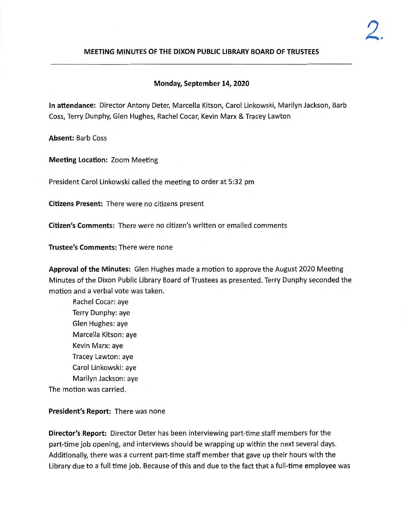### **MEETING MINUTES OF THE DIXON PUBLIC LIBRARY BOARD OF TRUSTEES**

## **Monday, September 14, 2020**

**In attendance:** Director Antony Deter, Marcella Kitson, Carol Linkowski, Marilyn Jackson, Barb Coss, Terry Dunphy, Glen Hughes, Rachel Cocar, Kevin Marx & Tracey Lawton

**Absent:** Barb Coss

**Meeting Location:** Zoom Meeting

President Carol Linkowski called the meeting to order at 5:32 pm

**Citizens Present:** There were no citizens present

**Citizen's Comments:** There were no citizen's written or emailed comments

**Trustee's Comments:** There were none

**Approval of the Minutes:** Glen Hughes made a motion to approve the August 2020 Meeting Minutes of the Dixon Public Library Board of Trustees as presented. Terry Dunphy seconded the motion and a verbal vote was taken.

Rachel Cocar: aye Terry Dunphy: aye Glen Hughes: aye Marcella Kitson: aye Kevin Marx: aye Tracey Lawton: aye Carol Linkowski: aye Marilyn Jackson: aye The motion was carried.

# **President's Report:** There was none

**Director's Report:** Director Deter has been interviewing part-time staff members for the part-time job opening, and interviews should be wrapping up within the next several days. Additionally, there was a current part-time staff member that gave up their hours with the Library due to a full time job. Because of this and due to the fact that a full-time employee was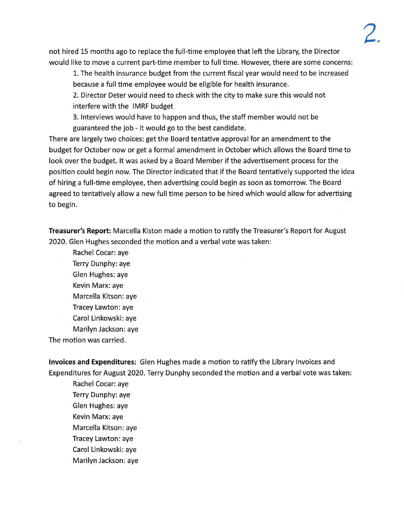not hired 15 months ago to replace the full-time employee that left the Library, the Director would like to move a current part-time member to full time. However, there are some concerns:

1. The health insurance budget from the current fiscal year would need to be increased because a full time employee would be eligible for health insurance.

2. Director Deter would need to check with the city to make sure this would not interfere with the IMRF budget

3. Interviews would have to happen and thus, the staff member would not be guaranteed the job - it would go to the best candidate.

There are largely two choices: get the Board tentative approval for an amendment to the budget for October now or get a formal amendment in October which allows the Board time to look over the budget. It was asked by a Board Member if the advertisement process for the position could begin now. The Director indicated that if the Board tentatively supported the idea of hiring a full-time employee, then advertising could begin as soon as tomorrow. The Board agreed to tentatively allow a new full time person to be hired which would allow for advertising to begin.

**Treasurer's Report:** Marcella Kiston made a motion to ratify the Treasurer's Report for August 2020 . Glen Hughes seconded the motion and a verbal vote was taken:

Rachel Cocar: aye Terry Dunphy: aye Glen Hughes: aye Kevin **Marx:** aye Marcella Kitson: aye Tracey Lawton: aye Carol Linkowski: aye Marilyn Jackson: aye The motion was carried.

**Invoices and Expenditures:** Glen Hughes made a motion to ratify the Library Invoices and Expenditures for August 2020. Terry Dunphy seconded the motion and a verbal vote was taken:

Rachel Cocar:aye Terry Dunphy: aye Glen Hughes: aye Kevin Marx: aye Marcella Kitson: aye Tracey Lawton: aye Carol Linkowski: aye Marilyn Jackson: aye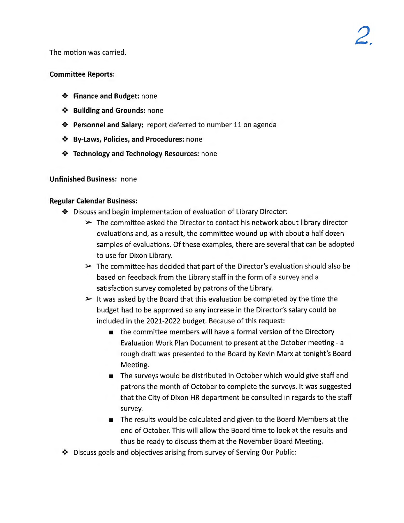The motion was carried.

### **Committee Reports:**

- **Finance and Budget:** none
- **Building and Grounds:** none
- **Personnel and Salary: report deferred to number 11 on agenda**
- **By-Laws, Policies, and Procedures:** none
- **Technology and Technology Resources:** none

### **Unfinished Business:** none

### **Regular Calendar Business:**

- Discuss and begin implementation of evaluation of Library Director:
	- $\triangleright$  The committee asked the Director to contact his network about library director evaluations and, as a result, the committee wound up with about a half dozen samples of evaluations. Of these examples, there are several that can be adopted to use for Dixon Library.
	- $\triangleright$  The committee has decided that part of the Director's evaluation should also be based on feedback from the Library staff in the form of a survey and a satisfaction survey completed by patrons of the Library.
	- $\triangleright$  It was asked by the Board that this evaluation be completed by the time the budget had to be approved so any increase in the Director's salary could be included in the 2021-2022 budget. Because of this request:
		- $\blacksquare$  the committee members will have a formal version of the Directory Evaluation Work Plan Document to present at the October meeting - a rough draft was presented to the Board by Kevin Marx at tonight's Board Meeting.
		- The surveys would be distributed in October which would give staff and patrons the month of October to complete the surveys. It was suggested that the City of Dixon HR department be consulted in regards to the staff survey.
		- **•** The results would be calculated and given to the Board Members at the end of October. This will allow the Board time to look at the results and thus be ready to discuss them at the November Board Meeting.
- Discuss goals and objectives arising from survey of Serving Our Public: